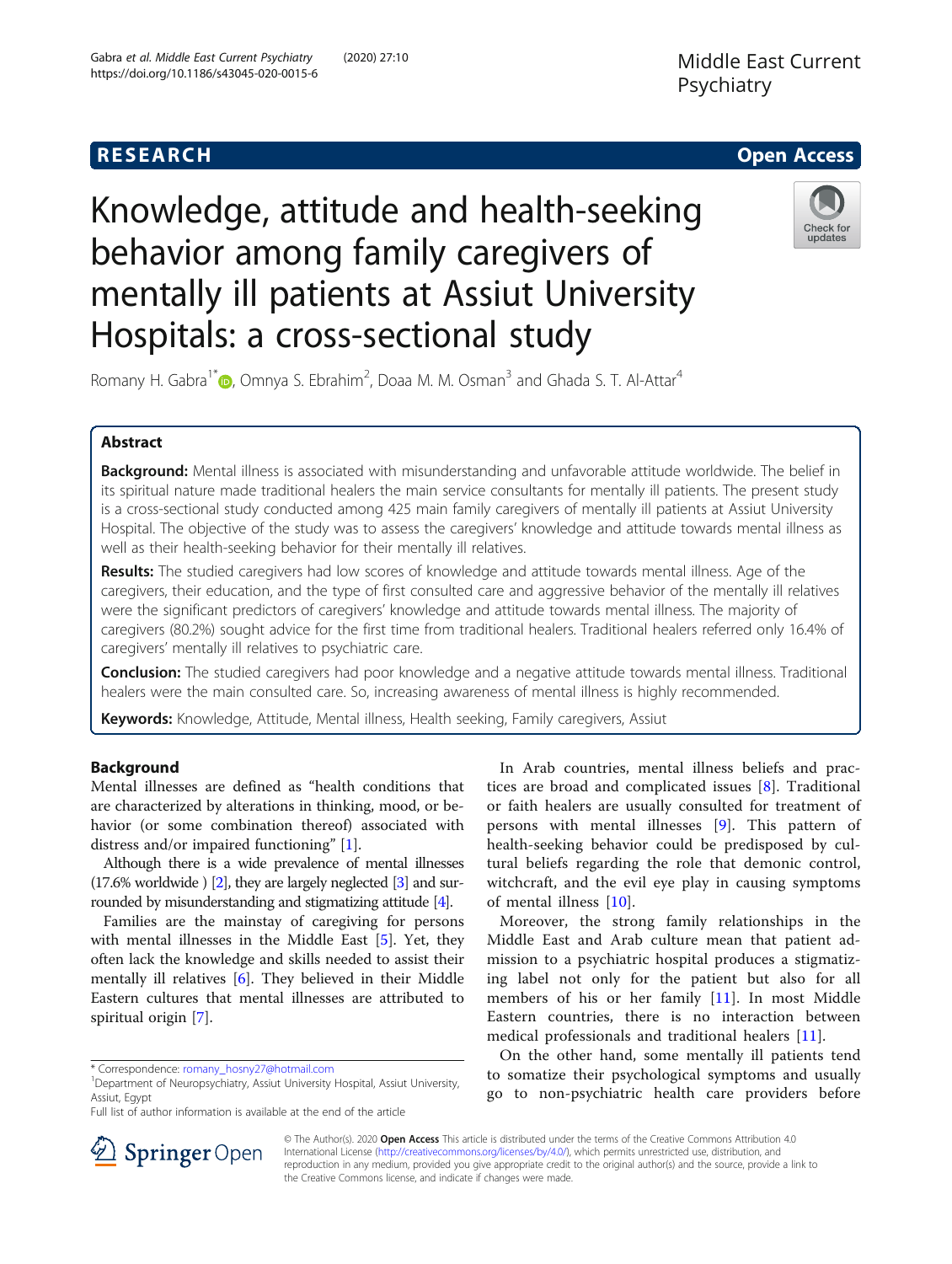

# Knowledge, attitude and health-seeking behavior among family caregivers of mentally ill patients at Assiut University Hospitals: a cross-sectional study



Romany H. Gabra<sup>1\*</sup> (D, Omnya S. Ebrahim<sup>2</sup>, Doaa M. M. Osman<sup>3</sup> and Ghada S. T. Al-Attar<sup>4</sup>

## Abstract

Background: Mental illness is associated with misunderstanding and unfavorable attitude worldwide. The belief in its spiritual nature made traditional healers the main service consultants for mentally ill patients. The present study is a cross-sectional study conducted among 425 main family caregivers of mentally ill patients at Assiut University Hospital. The objective of the study was to assess the caregivers' knowledge and attitude towards mental illness as well as their health-seeking behavior for their mentally ill relatives.

Results: The studied caregivers had low scores of knowledge and attitude towards mental illness. Age of the caregivers, their education, and the type of first consulted care and aggressive behavior of the mentally ill relatives were the significant predictors of caregivers' knowledge and attitude towards mental illness. The majority of caregivers (80.2%) sought advice for the first time from traditional healers. Traditional healers referred only 16.4% of caregivers' mentally ill relatives to psychiatric care.

**Conclusion:** The studied caregivers had poor knowledge and a negative attitude towards mental illness. Traditional healers were the main consulted care. So, increasing awareness of mental illness is highly recommended.

Keywords: Knowledge, Attitude, Mental illness, Health seeking, Family caregivers, Assiut

## Background

Mental illnesses are defined as "health conditions that are characterized by alterations in thinking, mood, or behavior (or some combination thereof) associated with distress and/or impaired functioning" [\[1](#page-6-0)].

Although there is a wide prevalence of mental illnesses  $(17.6\%$  worldwide  $\)$  [\[2\]](#page-6-0), they are largely neglected [\[3\]](#page-6-0) and surrounded by misunderstanding and stigmatizing attitude [\[4\]](#page-6-0).

Families are the mainstay of caregiving for persons with mental illnesses in the Middle East [[5\]](#page-6-0). Yet, they often lack the knowledge and skills needed to assist their mentally ill relatives [[6\]](#page-6-0). They believed in their Middle Eastern cultures that mental illnesses are attributed to spiritual origin [\[7\]](#page-6-0).

In Arab countries, mental illness beliefs and practices are broad and complicated issues [[8\]](#page-6-0). Traditional or faith healers are usually consulted for treatment of persons with mental illnesses [[9\]](#page-6-0). This pattern of health-seeking behavior could be predisposed by cultural beliefs regarding the role that demonic control, witchcraft, and the evil eye play in causing symptoms of mental illness [\[10](#page-6-0)].

Moreover, the strong family relationships in the Middle East and Arab culture mean that patient admission to a psychiatric hospital produces a stigmatizing label not only for the patient but also for all members of his or her family [[11\]](#page-6-0). In most Middle Eastern countries, there is no interaction between medical professionals and traditional healers [\[11](#page-6-0)].

On the other hand, some mentally ill patients tend to somatize their psychological symptoms and usually go to non-psychiatric health care providers before



© The Author(s). 2020 Open Access This article is distributed under the terms of the Creative Commons Attribution 4.0 International License ([http://creativecommons.org/licenses/by/4.0/\)](http://creativecommons.org/licenses/by/4.0/), which permits unrestricted use, distribution, and reproduction in any medium, provided you give appropriate credit to the original author(s) and the source, provide a link to the Creative Commons license, and indicate if changes were made.

<sup>\*</sup> Correspondence: [romany\\_hosny27@hotmail.com](mailto:romany_hosny27@hotmail.com) <sup>1</sup>

<sup>&</sup>lt;sup>1</sup>Department of Neuropsychiatry, Assiut University Hospital, Assiut University, Assiut, Egypt

Full list of author information is available at the end of the article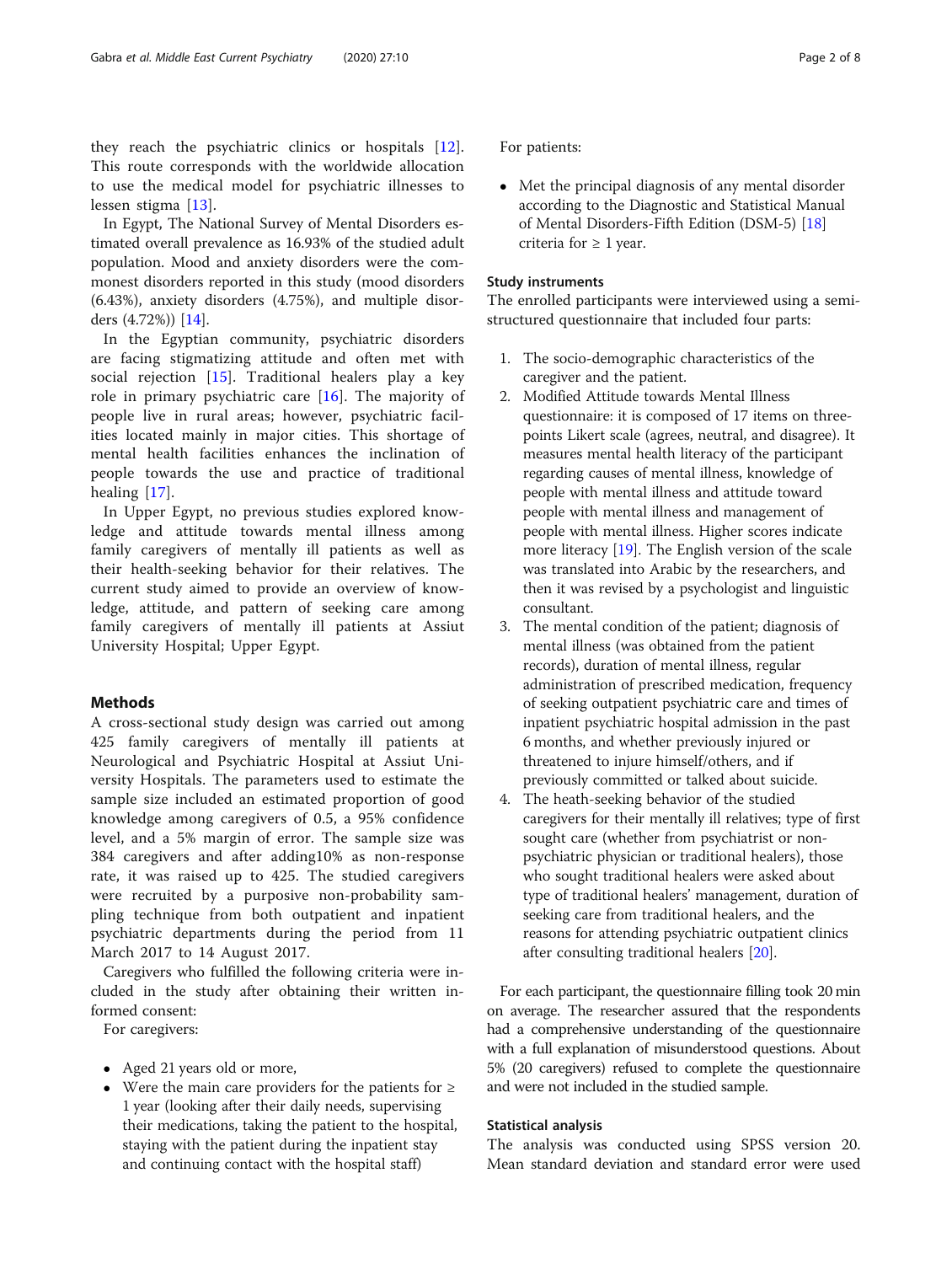they reach the psychiatric clinics or hospitals [\[12](#page-6-0)]. This route corresponds with the worldwide allocation to use the medical model for psychiatric illnesses to lessen stigma [[13\]](#page-6-0).

In Egypt, The National Survey of Mental Disorders estimated overall prevalence as 16.93% of the studied adult population. Mood and anxiety disorders were the commonest disorders reported in this study (mood disorders (6.43%), anxiety disorders (4.75%), and multiple disorders (4.72%)) [\[14\]](#page-6-0).

In the Egyptian community, psychiatric disorders are facing stigmatizing attitude and often met with social rejection [\[15](#page-6-0)]. Traditional healers play a key role in primary psychiatric care  $[16]$  $[16]$ . The majority of people live in rural areas; however, psychiatric facilities located mainly in major cities. This shortage of mental health facilities enhances the inclination of people towards the use and practice of traditional healing [[17\]](#page-6-0).

In Upper Egypt, no previous studies explored knowledge and attitude towards mental illness among family caregivers of mentally ill patients as well as their health-seeking behavior for their relatives. The current study aimed to provide an overview of knowledge, attitude, and pattern of seeking care among family caregivers of mentally ill patients at Assiut University Hospital; Upper Egypt.

## Methods

A cross-sectional study design was carried out among 425 family caregivers of mentally ill patients at Neurological and Psychiatric Hospital at Assiut University Hospitals. The parameters used to estimate the sample size included an estimated proportion of good knowledge among caregivers of 0.5, a 95% confidence level, and a 5% margin of error. The sample size was 384 caregivers and after adding10% as non-response rate, it was raised up to 425. The studied caregivers were recruited by a purposive non-probability sampling technique from both outpatient and inpatient psychiatric departments during the period from 11 March 2017 to 14 August 2017.

Caregivers who fulfilled the following criteria were included in the study after obtaining their written informed consent:

For caregivers:

- Aged 21 years old or more,
- Were the main care providers for the patients for ≥ 1 year (looking after their daily needs, supervising their medications, taking the patient to the hospital, staying with the patient during the inpatient stay and continuing contact with the hospital staff)

For patients:

 Met the principal diagnosis of any mental disorder according to the Diagnostic and Statistical Manual of Mental Disorders-Fifth Edition (DSM-5) [[18](#page-6-0)] criteria for  $\geq 1$  year.

## Study instruments

The enrolled participants were interviewed using a semistructured questionnaire that included four parts:

- 1. The socio-demographic characteristics of the caregiver and the patient.
- 2. Modified Attitude towards Mental Illness questionnaire: it is composed of 17 items on threepoints Likert scale (agrees, neutral, and disagree). It measures mental health literacy of the participant regarding causes of mental illness, knowledge of people with mental illness and attitude toward people with mental illness and management of people with mental illness. Higher scores indicate more literacy [[19](#page-6-0)]. The English version of the scale was translated into Arabic by the researchers, and then it was revised by a psychologist and linguistic consultant.
- 3. The mental condition of the patient; diagnosis of mental illness (was obtained from the patient records), duration of mental illness, regular administration of prescribed medication, frequency of seeking outpatient psychiatric care and times of inpatient psychiatric hospital admission in the past 6 months, and whether previously injured or threatened to injure himself/others, and if previously committed or talked about suicide.
- 4. The heath-seeking behavior of the studied caregivers for their mentally ill relatives; type of first sought care (whether from psychiatrist or nonpsychiatric physician or traditional healers), those who sought traditional healers were asked about type of traditional healers' management, duration of seeking care from traditional healers, and the reasons for attending psychiatric outpatient clinics after consulting traditional healers [[20](#page-6-0)].

For each participant, the questionnaire filling took 20 min on average. The researcher assured that the respondents had a comprehensive understanding of the questionnaire with a full explanation of misunderstood questions. About 5% (20 caregivers) refused to complete the questionnaire and were not included in the studied sample.

## Statistical analysis

The analysis was conducted using SPSS version 20. Mean standard deviation and standard error were used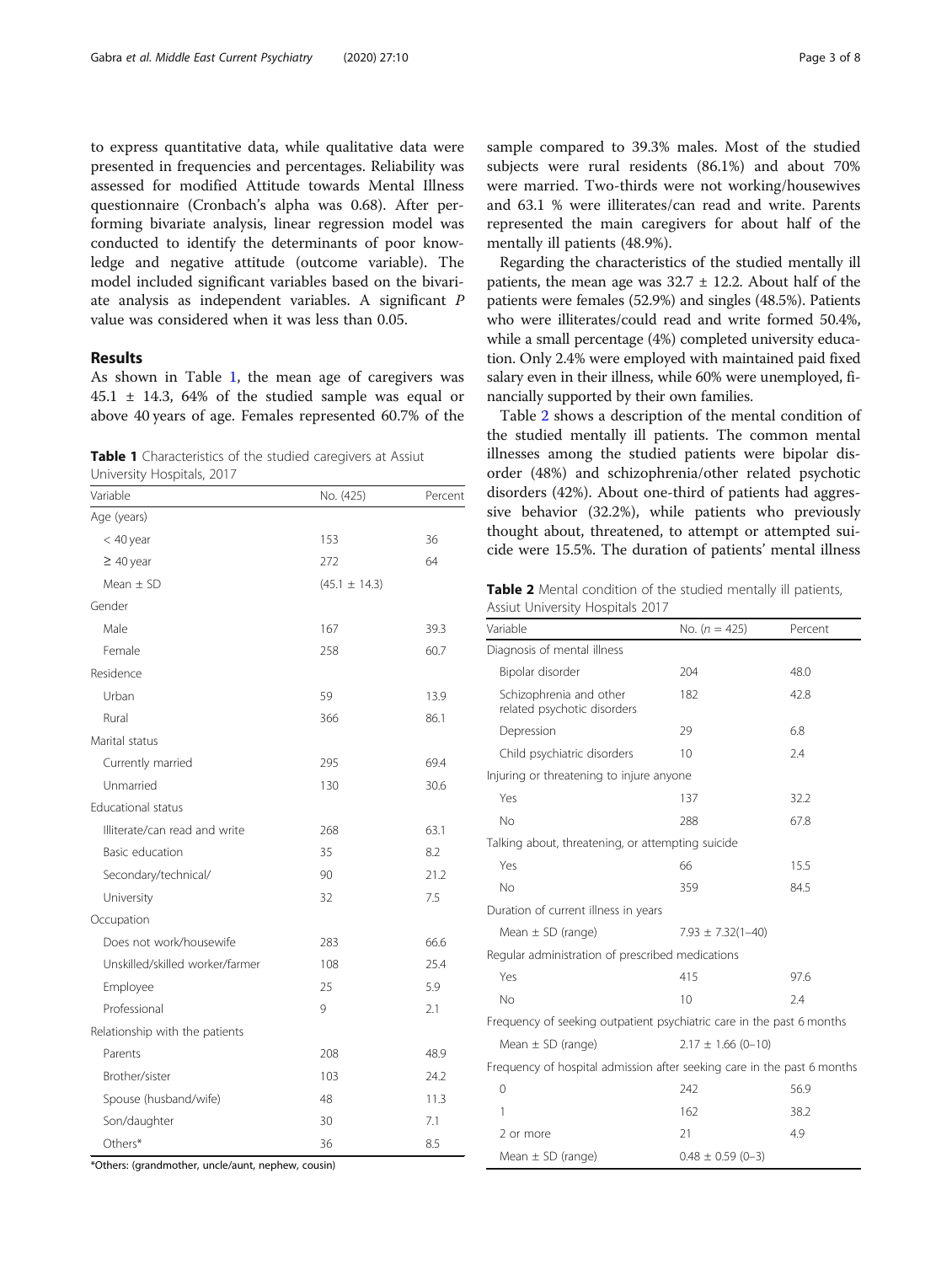to express quantitative data, while qualitative data were presented in frequencies and percentages. Reliability was assessed for modified Attitude towards Mental Illness questionnaire (Cronbach's alpha was 0.68). After performing bivariate analysis, linear regression model was conducted to identify the determinants of poor knowledge and negative attitude (outcome variable). The model included significant variables based on the bivariate analysis as independent variables. A significant P value was considered when it was less than 0.05.

## Results

As shown in Table 1, the mean age of caregivers was  $45.1 \pm 14.3$ , 64% of the studied sample was equal or above 40 years of age. Females represented 60.7% of the

Table 1 Characteristics of the studied caregivers at Assiut University Hospitals, 2017

| Variable                        | No. (425)         | Percent |
|---------------------------------|-------------------|---------|
| Age (years)                     |                   |         |
| $<$ 40 year                     | 153               | 36      |
| $\geq 40$ year                  | 272               | 64      |
| Mean $\pm$ SD                   | $(45.1 \pm 14.3)$ |         |
| Gender                          |                   |         |
| Male                            | 167               | 39.3    |
| Female                          | 258               | 60.7    |
| Residence                       |                   |         |
| Urban                           | 59                | 13.9    |
| Rural                           | 366               | 86.1    |
| Marital status                  |                   |         |
| Currently married               | 295               | 69.4    |
| Unmarried                       | 130               | 30.6    |
| Educational status              |                   |         |
| Illiterate/can read and write   | 268               | 63.1    |
| Basic education                 | 35                | 8.2     |
| Secondary/technical/            | 90                | 21.2    |
| University                      | 32                | 7.5     |
| Occupation                      |                   |         |
| Does not work/housewife         | 283               | 66.6    |
| Unskilled/skilled worker/farmer | 108               | 25.4    |
| Employee                        | 25                | 5.9     |
| Professional                    | 9                 | 2.1     |
| Relationship with the patients  |                   |         |
| Parents                         | 208               | 48.9    |
| Brother/sister                  | 103               | 24.2    |
| Spouse (husband/wife)           | 48                | 11.3    |
| Son/daughter                    | 30                | 7.1     |
| Others*                         | 36                | 8.5     |

sample compared to 39.3% males. Most of the studied subjects were rural residents (86.1%) and about 70% were married. Two-thirds were not working/housewives and 63.1 % were illiterates/can read and write. Parents represented the main caregivers for about half of the mentally ill patients (48.9%).

Regarding the characteristics of the studied mentally ill patients, the mean age was  $32.7 \pm 12.2$ . About half of the patients were females (52.9%) and singles (48.5%). Patients who were illiterates/could read and write formed 50.4%, while a small percentage (4%) completed university education. Only 2.4% were employed with maintained paid fixed salary even in their illness, while 60% were unemployed, financially supported by their own families.

Table 2 shows a description of the mental condition of the studied mentally ill patients. The common mental illnesses among the studied patients were bipolar disorder (48%) and schizophrenia/other related psychotic disorders (42%). About one-third of patients had aggressive behavior (32.2%), while patients who previously thought about, threatened, to attempt or attempted suicide were 15.5%. The duration of patients' mental illness

Table 2 Mental condition of the studied mentally ill patients, Assiut University Hospitals 2017

| Variable                                                                | No. $(n = 425)$ | Percent                 |  |  |
|-------------------------------------------------------------------------|-----------------|-------------------------|--|--|
| Diagnosis of mental illness                                             |                 |                         |  |  |
| Bipolar disorder                                                        | 204             | 48.0                    |  |  |
| Schizophrenia and other<br>related psychotic disorders                  | 182             | 42.8                    |  |  |
| Depression                                                              | 29              | 6.8                     |  |  |
| Child psychiatric disorders                                             | 10              | 2.4                     |  |  |
| Injuring or threatening to injure anyone                                |                 |                         |  |  |
| Yes                                                                     | 137             | 32.2                    |  |  |
| No                                                                      | 288             | 67.8                    |  |  |
| Talking about, threatening, or attempting suicide                       |                 |                         |  |  |
| Yes                                                                     | 66              | 15.5                    |  |  |
| No                                                                      | 359             | 84.5                    |  |  |
| Duration of current illness in years                                    |                 |                         |  |  |
| Mean $\pm$ SD (range)                                                   |                 | $7.93 \pm 7.32(1 - 40)$ |  |  |
| Regular administration of prescribed medications                        |                 |                         |  |  |
| Yes                                                                     | 415             | 97.6                    |  |  |
| No                                                                      | 10              | 7.4                     |  |  |
| Frequency of seeking outpatient psychiatric care in the past 6 months   |                 |                         |  |  |
| Mean $\pm$ SD (range)                                                   |                 | $2.17 \pm 1.66$ (0-10)  |  |  |
| Frequency of hospital admission after seeking care in the past 6 months |                 |                         |  |  |
| 0                                                                       | 242             | 56.9                    |  |  |
| 1                                                                       | 162             | 38.2                    |  |  |
| 2 or more                                                               | 21              | 4.9                     |  |  |
| Mean $\pm$ SD (range)                                                   |                 | $0.48 \pm 0.59$ (0-3)   |  |  |

\*Others: (grandmother, uncle/aunt, nephew, cousin)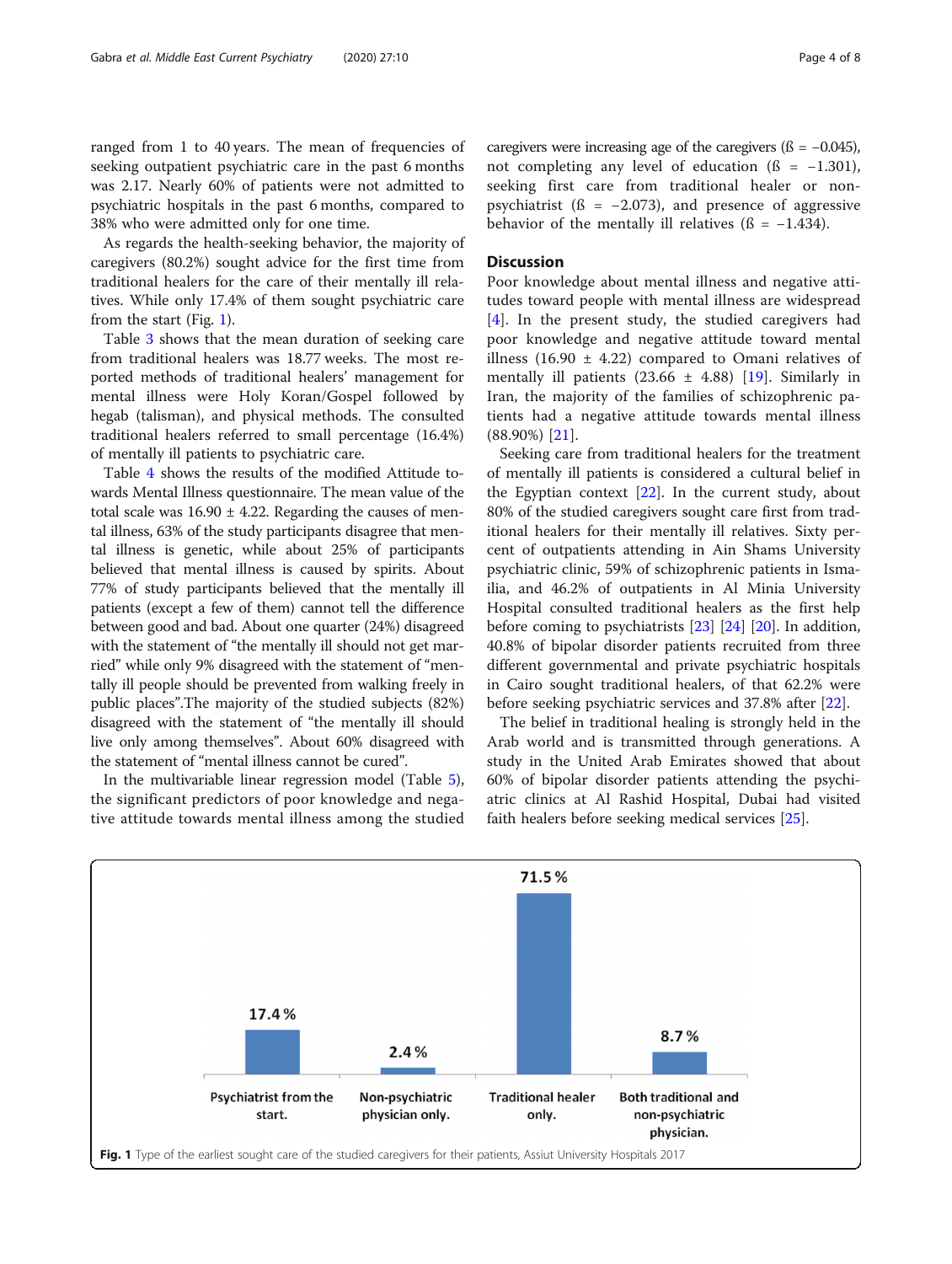ranged from 1 to 40 years. The mean of frequencies of seeking outpatient psychiatric care in the past 6 months was 2.17. Nearly 60% of patients were not admitted to psychiatric hospitals in the past 6 months, compared to 38% who were admitted only for one time.

As regards the health-seeking behavior, the majority of caregivers (80.2%) sought advice for the first time from traditional healers for the care of their mentally ill relatives. While only 17.4% of them sought psychiatric care from the start (Fig. 1).

Table [3](#page-4-0) shows that the mean duration of seeking care from traditional healers was 18.77 weeks. The most reported methods of traditional healers' management for mental illness were Holy Koran/Gospel followed by hegab (talisman), and physical methods. The consulted traditional healers referred to small percentage (16.4%) of mentally ill patients to psychiatric care.

Table [4](#page-4-0) shows the results of the modified Attitude towards Mental Illness questionnaire. The mean value of the total scale was  $16.90 \pm 4.22$ . Regarding the causes of mental illness, 63% of the study participants disagree that mental illness is genetic, while about 25% of participants believed that mental illness is caused by spirits. About 77% of study participants believed that the mentally ill patients (except a few of them) cannot tell the difference between good and bad. About one quarter (24%) disagreed with the statement of "the mentally ill should not get married" while only 9% disagreed with the statement of "mentally ill people should be prevented from walking freely in public places".The majority of the studied subjects (82%) disagreed with the statement of "the mentally ill should live only among themselves". About 60% disagreed with the statement of "mental illness cannot be cured".

In the multivariable linear regression model (Table [5](#page-5-0)), the significant predictors of poor knowledge and negative attitude towards mental illness among the studied caregivers were increasing age of the caregivers  $($ ß =  $-0.045$ ), not completing any level of education  $(6 = -1.301)$ , seeking first care from traditional healer or nonpsychiatrist ( $\beta$  = -2.073), and presence of aggressive behavior of the mentally ill relatives ( $\beta$  = -1.434).

## **Discussion**

Poor knowledge about mental illness and negative attitudes toward people with mental illness are widespread [[4](#page-6-0)]. In the present study, the studied caregivers had poor knowledge and negative attitude toward mental illness (16.90  $\pm$  4.22) compared to Omani relatives of mentally ill patients  $(23.66 \pm 4.88)$  [[19\]](#page-6-0). Similarly in Iran, the majority of the families of schizophrenic patients had a negative attitude towards mental illness (88.90%) [[21\]](#page-6-0).

Seeking care from traditional healers for the treatment of mentally ill patients is considered a cultural belief in the Egyptian context  $[22]$  $[22]$ . In the current study, about 80% of the studied caregivers sought care first from traditional healers for their mentally ill relatives. Sixty percent of outpatients attending in Ain Shams University psychiatric clinic, 59% of schizophrenic patients in Ismailia, and 46.2% of outpatients in Al Minia University Hospital consulted traditional healers as the first help before coming to psychiatrists [\[23](#page-6-0)] [[24\]](#page-6-0) [[20\]](#page-6-0). In addition, 40.8% of bipolar disorder patients recruited from three different governmental and private psychiatric hospitals in Cairo sought traditional healers, of that 62.2% were before seeking psychiatric services and 37.8% after [[22\]](#page-6-0).

The belief in traditional healing is strongly held in the Arab world and is transmitted through generations. A study in the United Arab Emirates showed that about 60% of bipolar disorder patients attending the psychiatric clinics at Al Rashid Hospital, Dubai had visited faith healers before seeking medical services [\[25](#page-6-0)].

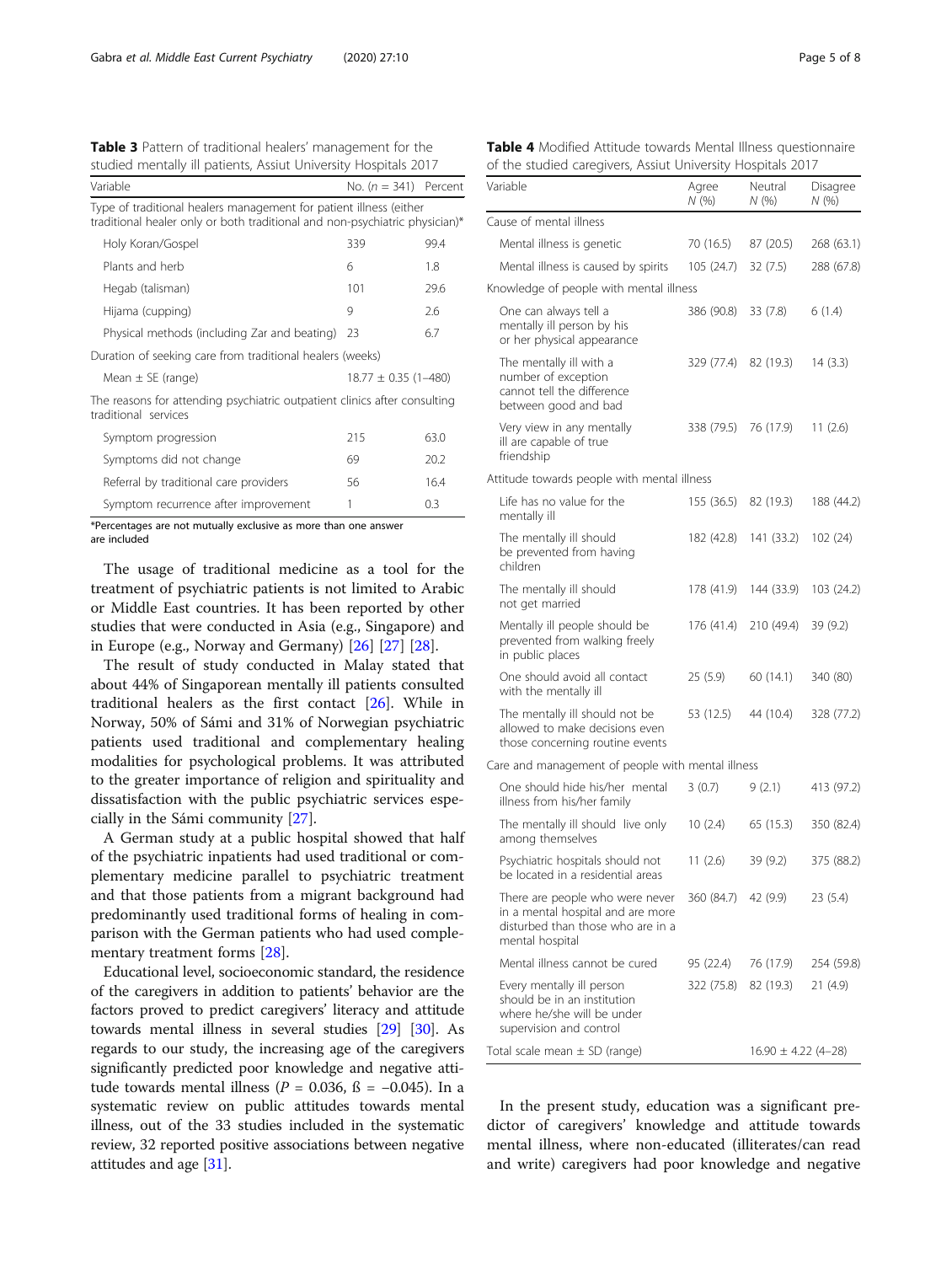<span id="page-4-0"></span>Table 3 Pattern of traditional healers' management for the studied mentally ill patients, Assiut University Hospitals 2017

| studied mentally ill patients, Assiut University Hospitals 2017                                                                                   |                          |      |  |
|---------------------------------------------------------------------------------------------------------------------------------------------------|--------------------------|------|--|
| Variable<br>No. $(n = 341)$ Percent                                                                                                               |                          |      |  |
| Type of traditional healers management for patient illness (either<br>traditional healer only or both traditional and non-psychiatric physician)* |                          |      |  |
| Holy Koran/Gospel                                                                                                                                 | 339                      | 99.4 |  |
| Plants and herb                                                                                                                                   | 6                        | 1.8  |  |
| Hegab (talisman)                                                                                                                                  | 101                      | 29.6 |  |
| Hijama (cupping)                                                                                                                                  | 9                        | 2.6  |  |
| Physical methods (including Zar and beating)                                                                                                      | 23                       | 6.7  |  |
| Duration of seeking care from traditional healers (weeks)                                                                                         |                          |      |  |
| Mean $\pm$ SE (range)                                                                                                                             | $18.77 \pm 0.35$ (1-480) |      |  |
| The reasons for attending psychiatric outpatient clinics after consulting<br>traditional services                                                 |                          |      |  |
| Symptom progression                                                                                                                               | 215                      | 63.0 |  |
| Symptoms did not change                                                                                                                           | 69                       | 20.2 |  |
| Referral by traditional care providers                                                                                                            | 56                       | 16.4 |  |
| Symptom recurrence after improvement                                                                                                              | 1                        | 0.3  |  |

\*Percentages are not mutually exclusive as more than one answer are included

The usage of traditional medicine as a tool for the treatment of psychiatric patients is not limited to Arabic or Middle East countries. It has been reported by other studies that were conducted in Asia (e.g., Singapore) and in Europe (e.g., Norway and Germany) [\[26](#page-6-0)] [\[27](#page-6-0)] [\[28](#page-6-0)].

The result of study conducted in Malay stated that about 44% of Singaporean mentally ill patients consulted traditional healers as the first contact [\[26](#page-6-0)]. While in Norway, 50% of Sámi and 31% of Norwegian psychiatric patients used traditional and complementary healing modalities for psychological problems. It was attributed to the greater importance of religion and spirituality and dissatisfaction with the public psychiatric services especially in the Sámi community [\[27\]](#page-6-0).

A German study at a public hospital showed that half of the psychiatric inpatients had used traditional or complementary medicine parallel to psychiatric treatment and that those patients from a migrant background had predominantly used traditional forms of healing in comparison with the German patients who had used complementary treatment forms [[28\]](#page-6-0).

Educational level, socioeconomic standard, the residence of the caregivers in addition to patients' behavior are the factors proved to predict caregivers' literacy and attitude towards mental illness in several studies [\[29](#page-6-0)] [[30](#page-6-0)]. As regards to our study, the increasing age of the caregivers significantly predicted poor knowledge and negative attitude towards mental illness ( $P = 0.036$ , ß = -0.045). In a systematic review on public attitudes towards mental illness, out of the 33 studies included in the systematic review, 32 reported positive associations between negative attitudes and age [\[31\]](#page-6-0).

Table 4 Modified Attitude towards Mental Illness questionnaire of the studied caregivers, Assiut University Hospitals 2017

| Variable                                                                                                                     | Agree<br>N(%         | Neutral<br>N (%)        | Disagree<br>N(%) |
|------------------------------------------------------------------------------------------------------------------------------|----------------------|-------------------------|------------------|
| Cause of mental illness                                                                                                      |                      |                         |                  |
| Mental illness is genetic                                                                                                    | 70 (16.5)            | 87 (20.5)               | 268 (63.1)       |
| Mental illness is caused by spirits                                                                                          | 105 (24.7)           | 32(7.5)                 | 288 (67.8)       |
| Knowledge of people with mental illness                                                                                      |                      |                         |                  |
| One can always tell a<br>mentally ill person by his<br>or her physical appearance                                            | 386 (90.8)           | 33 (7.8)                | 6(1.4)           |
| The mentally ill with a<br>number of exception<br>cannot tell the difference<br>between good and bad                         | 329 (77.4) 82 (19.3) |                         | 14 (3.3)         |
| Very view in any mentally<br>ill are capable of true<br>friendship                                                           | 338 (79.5)           | 76 (17.9)               | 11 $(2.6)$       |
| Attitude towards people with mental illness                                                                                  |                      |                         |                  |
| Life has no value for the<br>mentally ill                                                                                    | 155 (36.5)           | 82 (19.3)               | 188 (44.2)       |
| The mentally ill should<br>be prevented from having<br>children                                                              | 182 (42.8)           | 141 (33.2)              | 102(24)          |
| The mentally ill should<br>not get married                                                                                   | 178 (41.9)           | 144 (33.9)              | 103 (24.2)       |
| Mentally ill people should be<br>prevented from walking freely<br>in public places                                           | 176 (41.4)           | 210 (49.4)              | 39 (9.2)         |
| One should avoid all contact<br>with the mentally ill                                                                        | 25(5.9)              | 60 (14.1)               | 340 (80)         |
| The mentally ill should not be<br>allowed to make decisions even<br>those concerning routine events                          | 53 (12.5)            | 44 (10.4)               | 328 (77.2)       |
| Care and management of people with mental illness                                                                            |                      |                         |                  |
| One should hide his/her mental<br>illness from his/her family                                                                | 3(0.7)               | 9(2.1)                  | 413 (97.2)       |
| The mentally ill should live only<br>among themselves                                                                        | 10(2.4)              | 65 (15.3)               | 350 (82.4)       |
| Psychiatric hospitals should not<br>be located in a residential areas                                                        | 11(2.6)              | 39 (9.2)                | 375 (88.2)       |
| There are people who were never<br>in a mental hospital and are more<br>disturbed than those who are in a<br>mental hospital | 360 (84.7) 42 (9.9)  |                         | 23 (5.4)         |
| Mental illness cannot be cured                                                                                               | 95 (22.4)            | 76 (17.9)               | 254 (59.8)       |
| Every mentally ill person<br>should be in an institution<br>where he/she will be under<br>supervision and control            | 322 (75.8)           | 82 (19.3)               | 21(4.9)          |
| Total scale mean ± SD (range)                                                                                                |                      | $16.90 \pm 4.22$ (4-28) |                  |

In the present study, education was a significant predictor of caregivers' knowledge and attitude towards mental illness, where non-educated (illiterates/can read and write) caregivers had poor knowledge and negative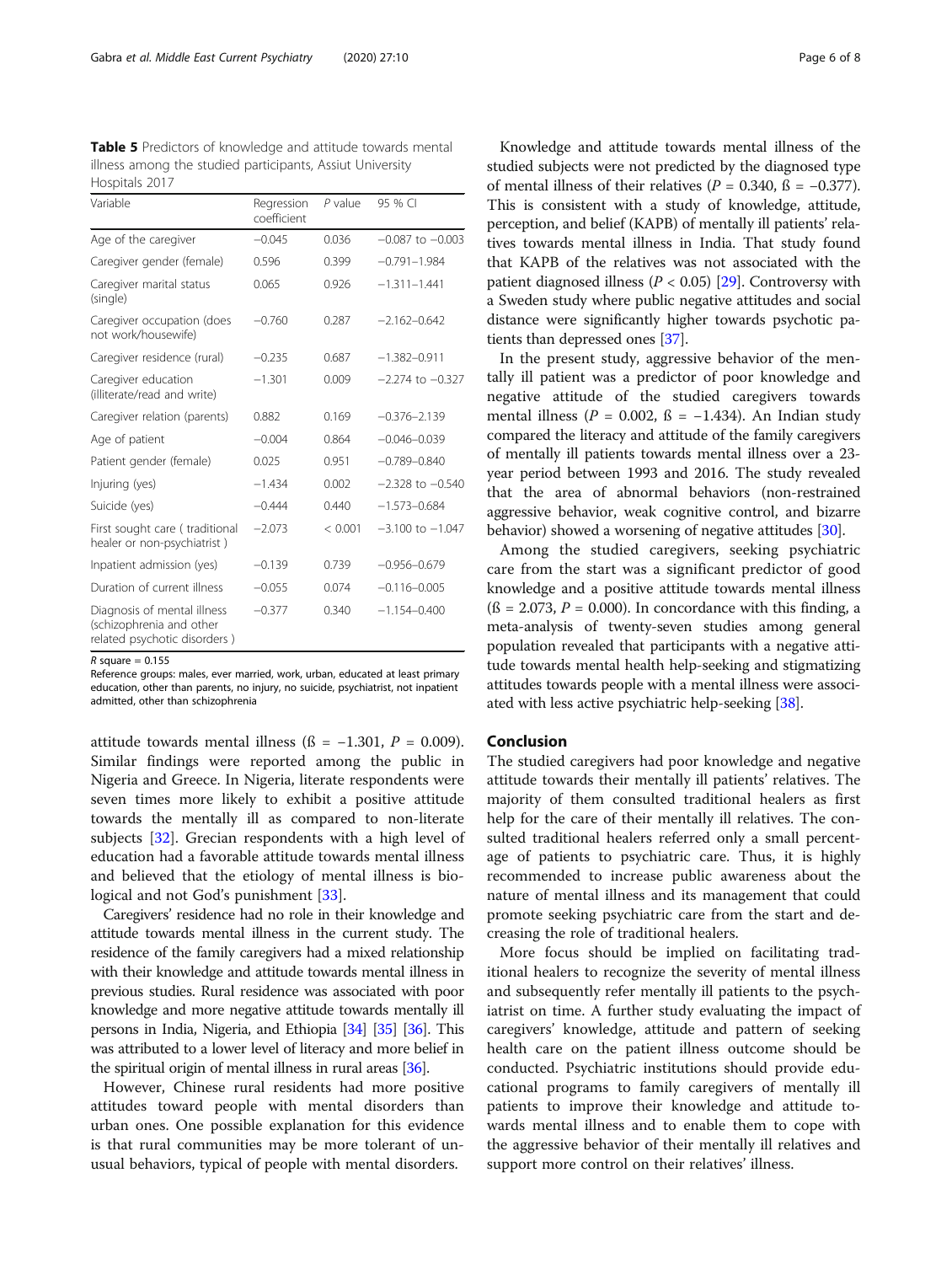<span id="page-5-0"></span>Table 5 Predictors of knowledge and attitude towards mental illness among the studied participants, Assiut University Hospitals 2017

| Variable                                                                                | Regression<br>coefficient | $P$ value | 95 % CI              |
|-----------------------------------------------------------------------------------------|---------------------------|-----------|----------------------|
| Age of the caregiver                                                                    | $-0.045$                  | 0.036     | $-0.087$ to $-0.003$ |
| Caregiver gender (female)                                                               | 0.596                     | 0.399     | $-0.791 - 1.984$     |
| Caregiver marital status<br>(single)                                                    | 0.065                     | 0.926     | $-1.311 - 1.441$     |
| Caregiver occupation (does<br>not work/housewife)                                       | $-0.760$                  | 0.287     | $-2.162 - 0.642$     |
| Caregiver residence (rural)                                                             | $-0.235$                  | 0.687     | $-1.382 - 0.911$     |
| Caregiver education<br>(illiterate/read and write)                                      | $-1.301$                  | 0.009     | $-2.274$ to $-0.327$ |
| Caregiver relation (parents)                                                            | 0.882                     | 0.169     | $-0.376 - 2.139$     |
| Age of patient                                                                          | $-0.004$                  | 0.864     | $-0.046 - 0.039$     |
| Patient gender (female)                                                                 | 0.025                     | 0.951     | $-0.789 - 0.840$     |
| Injuring (yes)                                                                          | $-1.434$                  | 0.002     | $-2.328$ to $-0.540$ |
| Suicide (yes)                                                                           | $-0.444$                  | 0440      | $-1.573 - 0.684$     |
| First sought care (traditional<br>healer or non-psychiatrist)                           | $-2.073$                  | < 0.001   | $-3.100$ to $-1.047$ |
| Inpatient admission (yes)                                                               | $-0.139$                  | 0.739     | $-0.956 - 0.679$     |
| Duration of current illness                                                             | $-0.055$                  | 0.074     | $-0.116 - 0.005$     |
| Diagnosis of mental illness<br>(schizophrenia and other<br>related psychotic disorders) | $-0.377$                  | 0.340     | $-1.154 - 0.400$     |

 $R$  square = 0.155

Reference groups: males, ever married, work, urban, educated at least primary education, other than parents, no injury, no suicide, psychiatrist, not inpatient admitted, other than schizophrenia

attitude towards mental illness (ß = −1.301,  $P = 0.009$ ). Similar findings were reported among the public in Nigeria and Greece. In Nigeria, literate respondents were seven times more likely to exhibit a positive attitude towards the mentally ill as compared to non-literate subjects [[32](#page-6-0)]. Grecian respondents with a high level of education had a favorable attitude towards mental illness and believed that the etiology of mental illness is bio-logical and not God's punishment [[33](#page-7-0)].

Caregivers' residence had no role in their knowledge and attitude towards mental illness in the current study. The residence of the family caregivers had a mixed relationship with their knowledge and attitude towards mental illness in previous studies. Rural residence was associated with poor knowledge and more negative attitude towards mentally ill persons in India, Nigeria, and Ethiopia [\[34\]](#page-7-0) [\[35\]](#page-7-0) [\[36](#page-7-0)]. This was attributed to a lower level of literacy and more belief in the spiritual origin of mental illness in rural areas [\[36\]](#page-7-0).

However, Chinese rural residents had more positive attitudes toward people with mental disorders than urban ones. One possible explanation for this evidence is that rural communities may be more tolerant of unusual behaviors, typical of people with mental disorders.

Knowledge and attitude towards mental illness of the studied subjects were not predicted by the diagnosed type of mental illness of their relatives ( $P = 0.340$ ,  $\beta = -0.377$ ). This is consistent with a study of knowledge, attitude, perception, and belief (KAPB) of mentally ill patients' relatives towards mental illness in India. That study found that KAPB of the relatives was not associated with the patient diagnosed illness ( $P < 0.05$ ) [\[29\]](#page-6-0). Controversy with a Sweden study where public negative attitudes and social distance were significantly higher towards psychotic patients than depressed ones [[37\]](#page-7-0).

In the present study, aggressive behavior of the mentally ill patient was a predictor of poor knowledge and negative attitude of the studied caregivers towards mental illness ( $P = 0.002$ ,  $\beta = -1.434$ ). An Indian study compared the literacy and attitude of the family caregivers of mentally ill patients towards mental illness over a 23 year period between 1993 and 2016. The study revealed that the area of abnormal behaviors (non-restrained aggressive behavior, weak cognitive control, and bizarre behavior) showed a worsening of negative attitudes [\[30\]](#page-6-0).

Among the studied caregivers, seeking psychiatric care from the start was a significant predictor of good knowledge and a positive attitude towards mental illness  $(6 = 2.073, P = 0.000)$ . In concordance with this finding, a meta-analysis of twenty-seven studies among general population revealed that participants with a negative attitude towards mental health help-seeking and stigmatizing attitudes towards people with a mental illness were associated with less active psychiatric help-seeking [\[38\]](#page-7-0).

## Conclusion

The studied caregivers had poor knowledge and negative attitude towards their mentally ill patients' relatives. The majority of them consulted traditional healers as first help for the care of their mentally ill relatives. The consulted traditional healers referred only a small percentage of patients to psychiatric care. Thus, it is highly recommended to increase public awareness about the nature of mental illness and its management that could promote seeking psychiatric care from the start and decreasing the role of traditional healers.

More focus should be implied on facilitating traditional healers to recognize the severity of mental illness and subsequently refer mentally ill patients to the psychiatrist on time. A further study evaluating the impact of caregivers' knowledge, attitude and pattern of seeking health care on the patient illness outcome should be conducted. Psychiatric institutions should provide educational programs to family caregivers of mentally ill patients to improve their knowledge and attitude towards mental illness and to enable them to cope with the aggressive behavior of their mentally ill relatives and support more control on their relatives' illness.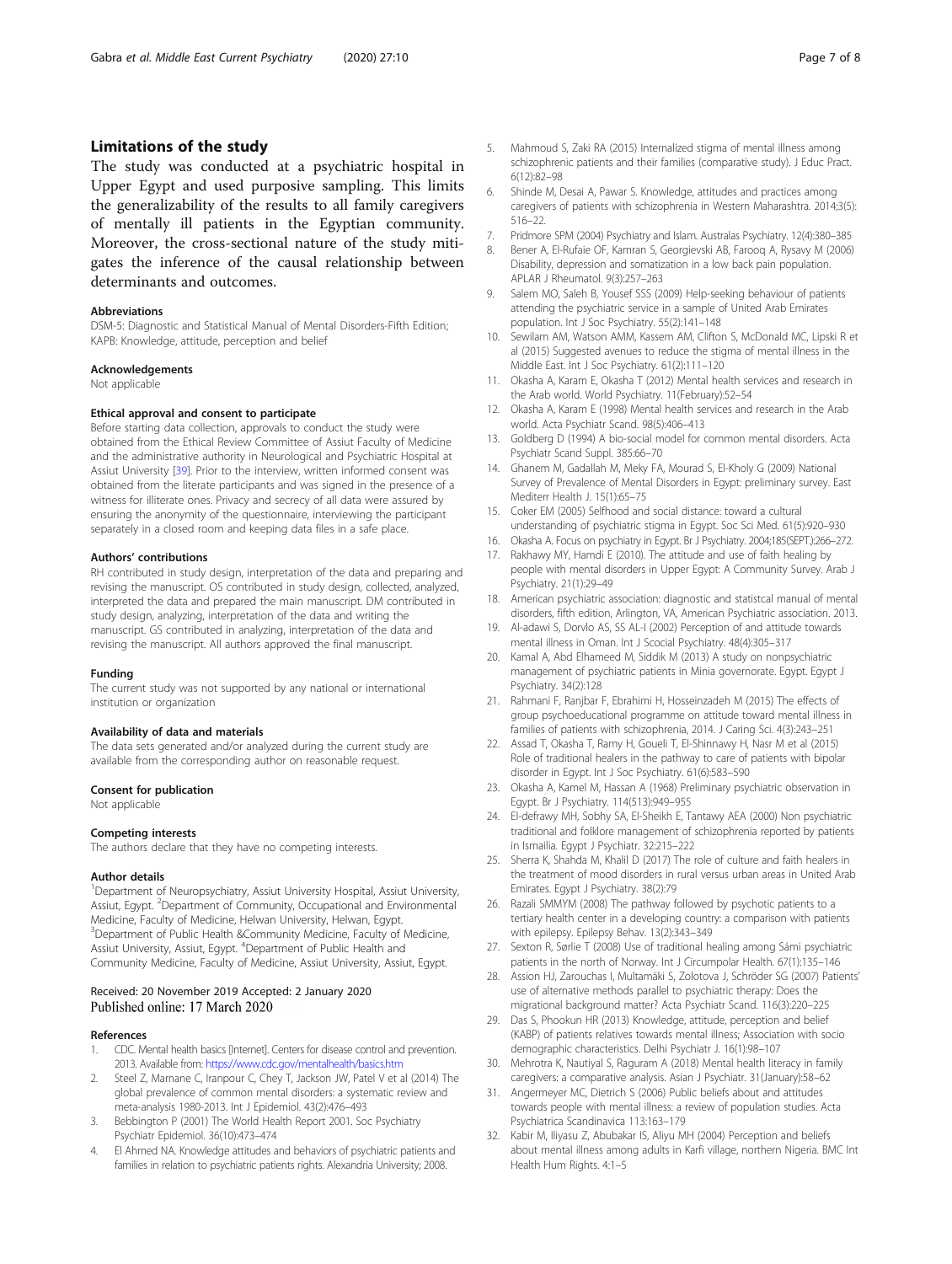## <span id="page-6-0"></span>Limitations of the study

The study was conducted at a psychiatric hospital in Upper Egypt and used purposive sampling. This limits the generalizability of the results to all family caregivers of mentally ill patients in the Egyptian community. Moreover, the cross-sectional nature of the study mitigates the inference of the causal relationship between determinants and outcomes.

#### Abbreviations

DSM-5: Diagnostic and Statistical Manual of Mental Disorders-Fifth Edition; KAPB: Knowledge, attitude, perception and belief

#### Acknowledgements

Not applicable

#### Ethical approval and consent to participate

Before starting data collection, approvals to conduct the study were obtained from the Ethical Review Committee of Assiut Faculty of Medicine and the administrative authority in Neurological and Psychiatric Hospital at Assiut University [\[39](#page-7-0)]. Prior to the interview, written informed consent was obtained from the literate participants and was signed in the presence of a witness for illiterate ones. Privacy and secrecy of all data were assured by ensuring the anonymity of the questionnaire, interviewing the participant separately in a closed room and keeping data files in a safe place.

#### Authors' contributions

RH contributed in study design, interpretation of the data and preparing and revising the manuscript. OS contributed in study design, collected, analyzed, interpreted the data and prepared the main manuscript. DM contributed in study design, analyzing, interpretation of the data and writing the manuscript. GS contributed in analyzing, interpretation of the data and revising the manuscript. All authors approved the final manuscript.

#### Funding

The current study was not supported by any national or international institution or organization

#### Availability of data and materials

The data sets generated and/or analyzed during the current study are available from the corresponding author on reasonable request.

#### Consent for publication

Not applicable

#### Competing interests

The authors declare that they have no competing interests.

#### Author details

<sup>1</sup>Department of Neuropsychiatry, Assiut University Hospital, Assiut University, Assiut, Egypt. <sup>2</sup>Department of Community, Occupational and Environmental Medicine, Faculty of Medicine, Helwan University, Helwan, Egypt. <sup>3</sup>Department of Public Health &Community Medicine, Faculty of Medicine, Assiut University, Assiut, Egypt. <sup>4</sup>Department of Public Health and Community Medicine, Faculty of Medicine, Assiut University, Assiut, Egypt.

## Received: 20 November 2019 Accepted: 2 January 2020 Published online: 17 March 2020

#### References

- 1. CDC. Mental health basics [Internet]. Centers for disease control and prevention. 2013. Available from: <https://www.cdc.gov/mentalhealth/basics.htm>
- 2. Steel Z, Marnane C, Iranpour C, Chey T, Jackson JW, Patel V et al (2014) The global prevalence of common mental disorders: a systematic review and meta-analysis 1980-2013. Int J Epidemiol. 43(2):476–493
- 3. Bebbington P (2001) The World Health Report 2001. Soc Psychiatry Psychiatr Epidemiol. 36(10):473–474
- 4. El Ahmed NA. Knowledge attitudes and behaviors of psychiatric patients and families in relation to psychiatric patients rights. Alexandria University; 2008.
- 5. Mahmoud S, Zaki RA (2015) Internalized stigma of mental illness among schizophrenic patients and their families (comparative study). J Educ Pract. 6(12):82–98
- 6. Shinde M, Desai A, Pawar S. Knowledge, attitudes and practices among caregivers of patients with schizophrenia in Western Maharashtra. 2014;3(5): 516–22.
- 7. Pridmore SPM (2004) Psychiatry and Islam. Australas Psychiatry. 12(4):380–385
- 8. Bener A, El-Rufaie OF, Kamran S, Georgievski AB, Farooq A, Rysavy M (2006) Disability, depression and somatization in a low back pain population. APLAR J Rheumatol. 9(3):257–263
- 9. Salem MO, Saleh B, Yousef SSS (2009) Help-seeking behaviour of patients attending the psychiatric service in a sample of United Arab Emirates population. Int J Soc Psychiatry. 55(2):141–148
- 10. Sewilam AM, Watson AMM, Kassem AM, Clifton S, McDonald MC, Lipski R et al (2015) Suggested avenues to reduce the stigma of mental illness in the Middle East. Int J Soc Psychiatry. 61(2):111–120
- 11. Okasha A, Karam E, Okasha T (2012) Mental health services and research in the Arab world. World Psychiatry. 11(February):52–54
- 12. Okasha A, Karam E (1998) Mental health services and research in the Arab world. Acta Psychiatr Scand. 98(5):406–413
- 13. Goldberg D (1994) A bio-social model for common mental disorders. Acta Psychiatr Scand Suppl. 385:66–70
- 14. Ghanem M, Gadallah M, Meky FA, Mourad S, El-Kholy G (2009) National Survey of Prevalence of Mental Disorders in Egypt: preliminary survey. East Mediterr Health J. 15(1):65–75
- 15. Coker EM (2005) Selfhood and social distance: toward a cultural understanding of psychiatric stigma in Egypt. Soc Sci Med. 61(5):920–930
- 16. Okasha A. Focus on psychiatry in Egypt. Br J Psychiatry. 2004;185(SEPT.):266–272.
- 17. Rakhawy MY, Hamdi E (2010). The attitude and use of faith healing by people with mental disorders in Upper Egypt: A Community Survey. Arab J Psychiatry. 21(1):29–49
- 18. American psychiatric association: diagnostic and statistcal manual of mental disorders, fifth edition, Arlington, VA, American Psychiatric association. 2013.
- 19. Al-adawi S, Dorvlo AS, SS AL-I (2002) Perception of and attitude towards mental illness in Oman. Int J Scocial Psychiatry. 48(4):305–317
- 20. Kamal A, Abd Elhameed M, Siddik M (2013) A study on nonpsychiatric management of psychiatric patients in Minia governorate. Egypt. Egypt J Psychiatry. 34(2):128
- 21. Rahmani F, Ranjbar F, Ebrahimi H, Hosseinzadeh M (2015) The effects of group psychoeducational programme on attitude toward mental illness in families of patients with schizophrenia, 2014. J Caring Sci. 4(3):243–251
- 22. Assad T, Okasha T, Ramy H, Goueli T, El-Shinnawy H, Nasr M et al (2015) Role of traditional healers in the pathway to care of patients with bipolar disorder in Egypt. Int J Soc Psychiatry. 61(6):583–590
- 23. Okasha A, Kamel M, Hassan A (1968) Preliminary psychiatric observation in Egypt. Br J Psychiatry. 114(513):949–955
- 24. El-defrawy MH, Sobhy SA, El-Sheikh E, Tantawy AEA (2000) Non psychiatric traditional and folklore management of schizophrenia reported by patients in Ismailia. Egypt J Psychiatr. 32:215–222
- 25. Sherra K, Shahda M, Khalil D (2017) The role of culture and faith healers in the treatment of mood disorders in rural versus urban areas in United Arab Emirates. Egypt J Psychiatry. 38(2):79
- 26. Razali SMMYM (2008) The pathway followed by psychotic patients to a tertiary health center in a developing country: a comparison with patients with epilepsy. Epilepsy Behav. 13(2):343–349
- 27. Sexton R, Sørlie T (2008) Use of traditional healing among Sámi psychiatric patients in the north of Norway. Int J Circumpolar Health. 67(1):135–146
- 28. Assion HJ, Zarouchas I, Multamäki S, Zolotova J, Schröder SG (2007) Patients' use of alternative methods parallel to psychiatric therapy: Does the migrational background matter? Acta Psychiatr Scand. 116(3):220–225
- 29. Das S, Phookun HR (2013) Knowledge, attitude, perception and belief (KABP) of patients relatives towards mental illness; Association with socio demographic characteristics. Delhi Psychiatr J. 16(1):98–107
- 30. Mehrotra K, Nautiyal S, Raguram A (2018) Mental health literacy in family caregivers: a comparative analysis. Asian J Psychiatr. 31(January):58–62
- 31. Angermeyer MC, Dietrich S (2006) Public beliefs about and attitudes towards people with mental illness: a review of population studies. Acta Psychiatrica Scandinavica 113:163–179
- 32. Kabir M, Iliyasu Z, Abubakar IS, Aliyu MH (2004) Perception and beliefs about mental illness among adults in Karfi village, northern Nigeria. BMC Int Health Hum Rights. 4:1–5